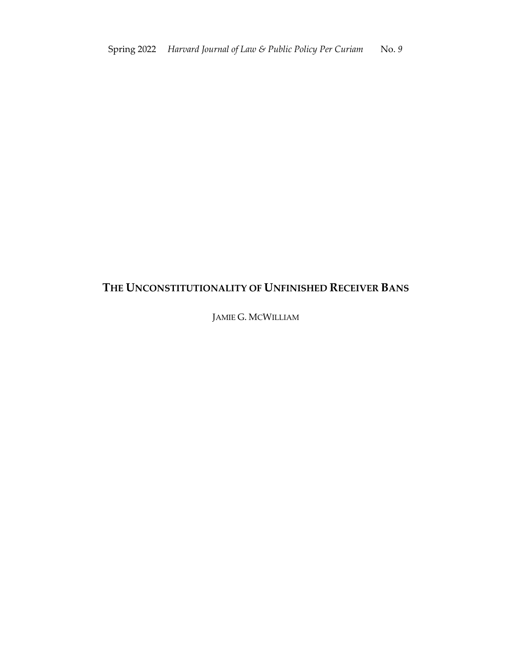# **THE UNCONSTITUTIONALITY OF UNFINISHED RECEIVER BANS**

JAMIE G. MCWILLIAM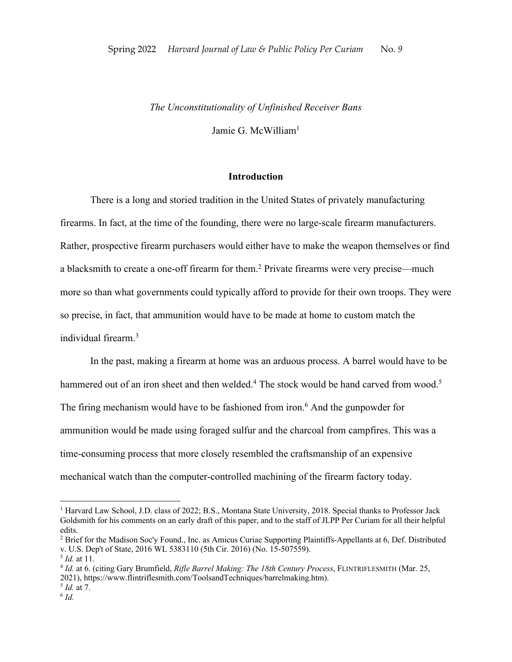# *The Unconstitutionality of Unfinished Receiver Bans*

Jamie G. McWilliam1

# **Introduction**

There is a long and storied tradition in the United States of privately manufacturing firearms. In fact, at the time of the founding, there were no large-scale firearm manufacturers. Rather, prospective firearm purchasers would either have to make the weapon themselves or find a blacksmith to create a one-off firearm for them.2 Private firearms were very precise—much more so than what governments could typically afford to provide for their own troops. They were so precise, in fact, that ammunition would have to be made at home to custom match the individual firearm.3

In the past, making a firearm at home was an arduous process. A barrel would have to be hammered out of an iron sheet and then welded.<sup>4</sup> The stock would be hand carved from wood.<sup>5</sup> The firing mechanism would have to be fashioned from iron. <sup>6</sup> And the gunpowder for ammunition would be made using foraged sulfur and the charcoal from campfires. This was a time-consuming process that more closely resembled the craftsmanship of an expensive mechanical watch than the computer-controlled machining of the firearm factory today.

<sup>&</sup>lt;sup>1</sup> Harvard Law School, J.D. class of 2022; B.S., Montana State University, 2018. Special thanks to Professor Jack Goldsmith for his comments on an early draft of this paper, and to the staff of JLPP Per Curiam for all their helpful edits.

<sup>2</sup> Brief for the Madison Soc'y Found., Inc. as Amicus Curiae Supporting Plaintiffs-Appellants at 6, Def. Distributed v. U.S. Dep't of State, 2016 WL 5383110 (5th Cir. 2016) (No. 15-507559).

<sup>3</sup> *Id.* at 11.

<sup>4</sup> *Id.* at 6. (citing Gary Brumfield, *Rifle Barrel Making: The 18th Century Process*, FLINTRIFLESMITH (Mar. 25, 2021), https://www.flintriflesmith.com/ToolsandTechniques/barrelmaking.htm).

<sup>5</sup> *Id.* at 7.

 $6$  *Id.*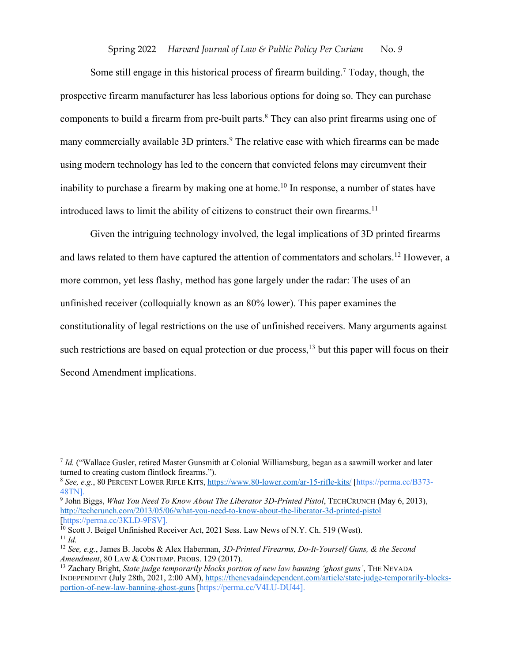Some still engage in this historical process of firearm building.<sup>7</sup> Today, though, the prospective firearm manufacturer has less laborious options for doing so. They can purchase components to build a firearm from pre-built parts.<sup>8</sup> They can also print firearms using one of many commercially available 3D printers.<sup>9</sup> The relative ease with which firearms can be made using modern technology has led to the concern that convicted felons may circumvent their inability to purchase a firearm by making one at home.<sup>10</sup> In response, a number of states have introduced laws to limit the ability of citizens to construct their own firearms.<sup>11</sup>

Given the intriguing technology involved, the legal implications of 3D printed firearms and laws related to them have captured the attention of commentators and scholars.12 However, a more common, yet less flashy, method has gone largely under the radar: The uses of an unfinished receiver (colloquially known as an 80% lower). This paper examines the constitutionality of legal restrictions on the use of unfinished receivers. Many arguments against such restrictions are based on equal protection or due process, <sup>13</sup> but this paper will focus on their Second Amendment implications.

<sup>7</sup> *Id.* ("Wallace Gusler, retired Master Gunsmith at Colonial Williamsburg, began as a sawmill worker and later turned to creating custom flintlock firearms.").

<sup>8</sup> *See, e.g.*, 80 PERCENT LOWER RIFLE KITS, https://www.80-lower.com/ar-15-rifle-kits/ [https://perma.cc/B373- 48TN].

<sup>9</sup> John Biggs, *What You Need To Know About The Liberator 3D-Printed Pistol*, TECHCRUNCH (May 6, 2013), http://techcrunch.com/2013/05/06/what-you-need-to-know-about-the-liberator-3d-printed-pistol [https://perma.cc/3KLD-9FSV].

<sup>&</sup>lt;sup>10</sup> Scott J. Beigel Unfinished Receiver Act, 2021 Sess. Law News of N.Y. Ch. 519 (West).  $11$  *Id.* 

<sup>12</sup> *See, e.g.*, James B. Jacobs & Alex Haberman, *3D-Printed Firearms, Do-It-Yourself Guns, & the Second Amendment*, 80 LAW & CONTEMP. PROBS. 129 (2017).

<sup>13</sup> Zachary Bright, *State judge temporarily blocks portion of new law banning 'ghost guns'*, THE NEVADA INDEPENDENT (July 28th, 2021, 2:00 AM), https://thenevadaindependent.com/article/state-judge-temporarily-blocksportion-of-new-law-banning-ghost-guns [https://perma.cc/V4LU-DU44].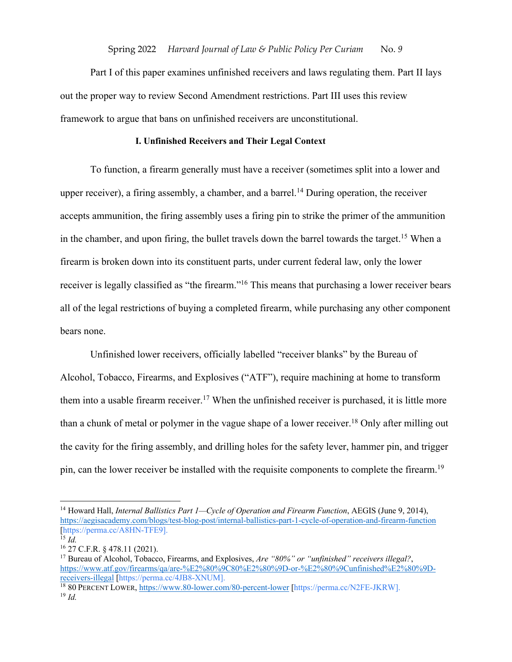Part I of this paper examines unfinished receivers and laws regulating them. Part II lays out the proper way to review Second Amendment restrictions. Part III uses this review framework to argue that bans on unfinished receivers are unconstitutional.

# **I. Unfinished Receivers and Their Legal Context**

To function, a firearm generally must have a receiver (sometimes split into a lower and upper receiver), a firing assembly, a chamber, and a barrel.<sup>14</sup> During operation, the receiver accepts ammunition, the firing assembly uses a firing pin to strike the primer of the ammunition in the chamber, and upon firing, the bullet travels down the barrel towards the target.<sup>15</sup> When a firearm is broken down into its constituent parts, under current federal law, only the lower receiver is legally classified as "the firearm."<sup>16</sup> This means that purchasing a lower receiver bears all of the legal restrictions of buying a completed firearm, while purchasing any other component bears none.

Unfinished lower receivers, officially labelled "receiver blanks" by the Bureau of Alcohol, Tobacco, Firearms, and Explosives ("ATF"), require machining at home to transform them into a usable firearm receiver.<sup>17</sup> When the unfinished receiver is purchased, it is little more than a chunk of metal or polymer in the vague shape of a lower receiver.<sup>18</sup> Only after milling out the cavity for the firing assembly, and drilling holes for the safety lever, hammer pin, and trigger pin, can the lower receiver be installed with the requisite components to complete the firearm.19

<sup>14</sup> Howard Hall, *Internal Ballistics Part 1—Cycle of Operation and Firearm Function*, AEGIS (June 9, 2014), https://aegisacademy.com/blogs/test-blog-post/internal-ballistics-part-1-cycle-of-operation-and-firearm-function [https://perma.cc/A8HN-TFE9]. <sup>15</sup> *Id.*

<sup>16</sup> 27 C.F.R. § 478.11 (2021).

<sup>17</sup> Bureau of Alcohol, Tobacco, Firearms, and Explosives, *Are "80%" or "unfinished" receivers illegal?*, https://www.atf.gov/firearms/qa/are-%E2%80%9C80%E2%80%9D-or-%E2%80%9Cunfinished%E2%80%9Dreceivers-illegal [https://perma.cc/4JB8-XNUM].

<sup>18</sup> 80 PERCENT LOWER, https://www.80-lower.com/80-percent-lower [https://perma.cc/N2FE-JKRW]. <sup>19</sup> *Id.*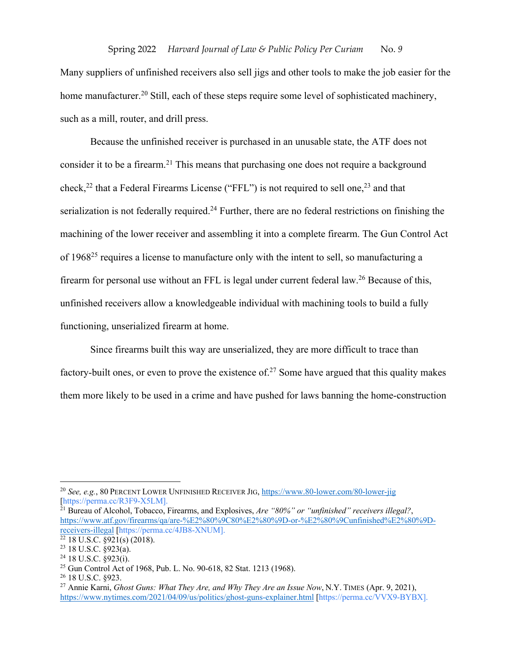Many suppliers of unfinished receivers also sell jigs and other tools to make the job easier for the home manufacturer.<sup>20</sup> Still, each of these steps require some level of sophisticated machinery, such as a mill, router, and drill press.

Because the unfinished receiver is purchased in an unusable state, the ATF does not consider it to be a firearm.<sup>21</sup> This means that purchasing one does not require a background check,<sup>22</sup> that a Federal Firearms License ("FFL") is not required to sell one,<sup>23</sup> and that serialization is not federally required.<sup>24</sup> Further, there are no federal restrictions on finishing the machining of the lower receiver and assembling it into a complete firearm. The Gun Control Act of 1968<sup>25</sup> requires a license to manufacture only with the intent to sell, so manufacturing a firearm for personal use without an FFL is legal under current federal law.<sup>26</sup> Because of this, unfinished receivers allow a knowledgeable individual with machining tools to build a fully functioning, unserialized firearm at home.

Since firearms built this way are unserialized, they are more difficult to trace than factory-built ones, or even to prove the existence of.<sup>27</sup> Some have argued that this quality makes them more likely to be used in a crime and have pushed for laws banning the home-construction

<sup>21</sup> Bureau of Alcohol, Tobacco, Firearms, and Explosives, *Are "80%" or "unfinished" receivers illegal?*, https://www.atf.gov/firearms/qa/are-%E2%80%9C80%E2%80%9D-or-%E2%80%9Cunfinished%E2%80%9Dreceivers-illegal [https://perma.cc/4JB8-XNUM].

<sup>20</sup> *See, e.g.*, 80 PERCENT LOWER UNFINISHED RECEIVER JIG, https://www.80-lower.com/80-lower-jig [https://perma.cc/R3F9-X5LM].

 $22$  18 U.S.C.  $\S$ 921(s) (2018).

 $23$  18 U.S.C. §923(a).

 $24$  18 U.S.C. §923(i).

<sup>25</sup> Gun Control Act of 1968, Pub. L. No. 90-618, 82 Stat. 1213 (1968).

<sup>26</sup> 18 U.S.C. §923.

<sup>27</sup> Annie Karni, *Ghost Guns: What They Are, and Why They Are an Issue Now*, N.Y. TIMES (Apr. 9, 2021), https://www.nytimes.com/2021/04/09/us/politics/ghost-guns-explainer.html [https://perma.cc/VVX9-BYBX].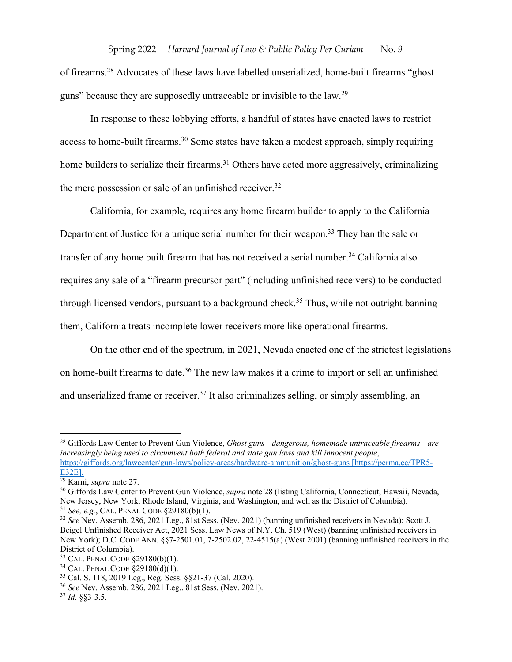of firearms.<sup>28</sup> Advocates of these laws have labelled unserialized, home-built firearms "ghost guns" because they are supposedly untraceable or invisible to the law.29

In response to these lobbying efforts, a handful of states have enacted laws to restrict access to home-built firearms.<sup>30</sup> Some states have taken a modest approach, simply requiring home builders to serialize their firearms.<sup>31</sup> Others have acted more aggressively, criminalizing the mere possession or sale of an unfinished receiver.<sup>32</sup>

California, for example, requires any home firearm builder to apply to the California Department of Justice for a unique serial number for their weapon.<sup>33</sup> They ban the sale or transfer of any home built firearm that has not received a serial number.<sup>34</sup> California also requires any sale of a "firearm precursor part" (including unfinished receivers) to be conducted through licensed vendors, pursuant to a background check.<sup>35</sup> Thus, while not outright banning them, California treats incomplete lower receivers more like operational firearms.

On the other end of the spectrum, in 2021, Nevada enacted one of the strictest legislations on home-built firearms to date.<sup>36</sup> The new law makes it a crime to import or sell an unfinished and unserialized frame or receiver.<sup>37</sup> It also criminalizes selling, or simply assembling, an

<sup>28</sup> Giffords Law Center to Prevent Gun Violence, *Ghost guns—dangerous, homemade untraceable firearms—are increasingly being used to circumvent both federal and state gun laws and kill innocent people*, https://giffords.org/lawcenter/gun-laws/policy-areas/hardware-ammunition/ghost-guns [https://perma.cc/TPR5- E32E].

<sup>29</sup> Karni, *supra* note 27.

<sup>30</sup> Giffords Law Center to Prevent Gun Violence, *supra* note 28 (listing California, Connecticut, Hawaii, Nevada, New Jersey, New York, Rhode Island, Virginia, and Washington, and well as the District of Columbia). <sup>31</sup> *See, e.g.*, CAL. PENAL CODE §29180(b)(1).

<sup>32</sup> *See* Nev. Assemb. 286, 2021 Leg., 81st Sess. (Nev. 2021) (banning unfinished receivers in Nevada); Scott J. Beigel Unfinished Receiver Act, 2021 Sess. Law News of N.Y. Ch. 519 (West) (banning unfinished receivers in New York); D.C. CODE ANN. §§7-2501.01, 7-2502.02, 22-4515(a) (West 2001) (banning unfinished receivers in the District of Columbia).

<sup>33</sup> CAL. PENAL CODE §29180(b)(1).

<sup>34</sup> CAL. PENAL CODE §29180(d)(1).

<sup>35</sup> Cal. S. 118, 2019 Leg., Reg. Sess. §§21-37 (Cal. 2020).

<sup>36</sup> *See* Nev. Assemb. 286, 2021 Leg., 81st Sess. (Nev. 2021).

<sup>37</sup> *Id.* §§3-3.5.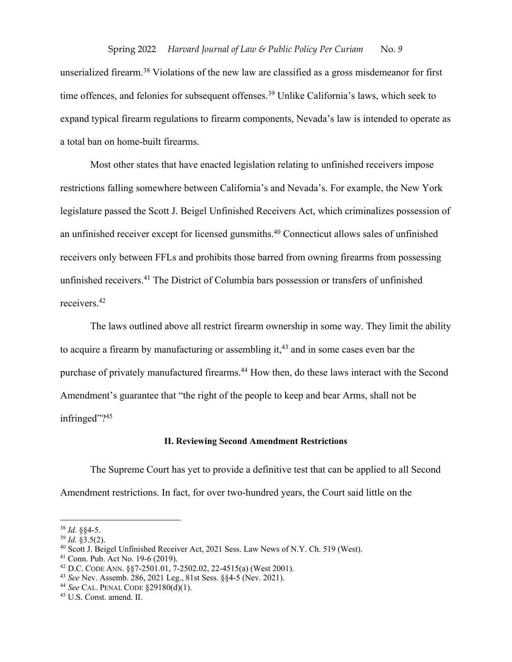unserialized firearm.38 Violations of the new law are classified as a gross misdemeanor for first time offences, and felonies for subsequent offenses.<sup>39</sup> Unlike California's laws, which seek to expand typical firearm regulations to firearm components, Nevada's law is intended to operate as a total ban on home-built firearms.

Most other states that have enacted legislation relating to unfinished receivers impose restrictions falling somewhere between California's and Nevada's. For example, the New York legislature passed the Scott J. Beigel Unfinished Receivers Act, which criminalizes possession of an unfinished receiver except for licensed gunsmiths.<sup>40</sup> Connecticut allows sales of unfinished receivers only between FFLs and prohibits those barred from owning firearms from possessing unfinished receivers.41 The District of Columbia bars possession or transfers of unfinished receivers.42

The laws outlined above all restrict firearm ownership in some way. They limit the ability to acquire a firearm by manufacturing or assembling it, $43$  and in some cases even bar the purchase of privately manufactured firearms.<sup>44</sup> How then, do these laws interact with the Second Amendment's guarantee that "the right of the people to keep and bear Arms, shall not be infringed"?<sup>45</sup>

#### **II. Reviewing Second Amendment Restrictions**

The Supreme Court has yet to provide a definitive test that can be applied to all Second Amendment restrictions. In fact, for over two-hundred years, the Court said little on the

<sup>38</sup> *Id.* §§4-5.

<sup>39</sup> *Id.* §3.5(2).

<sup>40</sup> Scott J. Beigel Unfinished Receiver Act, 2021 Sess. Law News of N.Y. Ch. 519 (West).

<sup>41</sup> Conn. Pub. Act No. 19-6 (2019).

<sup>42</sup> D.C. CODE ANN. §§7-2501.01, 7-2502.02, 22-4515(a) (West 2001).

<sup>43</sup> *See* Nev. Assemb. 286, 2021 Leg., 81st Sess. §§4-5 (Nev. 2021). 44 *See* CAL. PENAL CODE §29180(d)(1).

<sup>45</sup> U.S. Const. amend. II.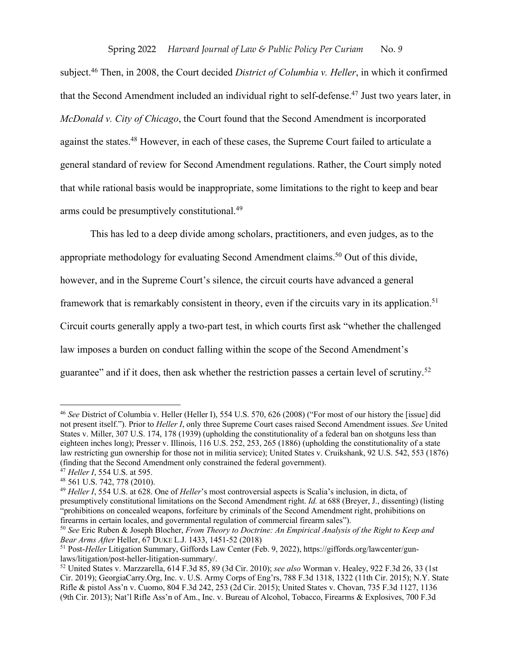subject.46 Then, in 2008, the Court decided *District of Columbia v. Heller*, in which it confirmed that the Second Amendment included an individual right to self-defense.47 Just two years later, in *McDonald v. City of Chicago*, the Court found that the Second Amendment is incorporated against the states.<sup>48</sup> However, in each of these cases, the Supreme Court failed to articulate a general standard of review for Second Amendment regulations. Rather, the Court simply noted that while rational basis would be inappropriate, some limitations to the right to keep and bear arms could be presumptively constitutional.49

This has led to a deep divide among scholars, practitioners, and even judges, as to the appropriate methodology for evaluating Second Amendment claims.<sup>50</sup> Out of this divide, however, and in the Supreme Court's silence, the circuit courts have advanced a general framework that is remarkably consistent in theory, even if the circuits vary in its application.<sup>51</sup> Circuit courts generally apply a two-part test, in which courts first ask "whether the challenged law imposes a burden on conduct falling within the scope of the Second Amendment's guarantee" and if it does, then ask whether the restriction passes a certain level of scrutiny.52

<sup>46</sup> *See* District of Columbia v. Heller (Heller I), 554 U.S. 570, 626 (2008) ("For most of our history the [issue] did not present itself."). Prior to *Heller I*, only three Supreme Court cases raised Second Amendment issues. *See* United States v. Miller, 307 U.S. 174, 178 (1939) (upholding the constitutionality of a federal ban on shotguns less than eighteen inches long); Presser v. Illinois, 116 U.S. 252, 253, 265 (1886) (upholding the constitutionality of a state law restricting gun ownership for those not in militia service); United States v. Cruikshank, 92 U.S. 542, 553 (1876) (finding that the Second Amendment only constrained the federal government).

<sup>47</sup> *Heller I*, 554 U.S. at 595.

<sup>48</sup> 561 U.S. 742, 778 (2010).

<sup>49</sup> *Heller I*, 554 U.S. at 628. One of *Heller*'s most controversial aspects is Scalia's inclusion, in dicta, of presumptively constitutional limitations on the Second Amendment right. *Id.* at 688 (Breyer, J., dissenting) (listing "prohibitions on concealed weapons, forfeiture by criminals of the Second Amendment right, prohibitions on firearms in certain locales, and governmental regulation of commercial firearm sales").

<sup>50</sup> *See* Eric Ruben & Joseph Blocher, *From Theory to Doctrine: An Empirical Analysis of the Right to Keep and Bear Arms After* Heller, 67 DUKE L.J. 1433, 1451-52 (2018)

<sup>51</sup> Post-*Heller* Litigation Summary, Giffords Law Center (Feb. 9, 2022), https://giffords.org/lawcenter/gunlaws/litigation/post-heller-litigation-summary/.

<sup>52</sup> United States v. Marzzarella, 614 F.3d 85, 89 (3d Cir. 2010); *see also* Worman v. Healey, 922 F.3d 26, 33 (1st Cir. 2019); GeorgiaCarry.Org, Inc. v. U.S. Army Corps of Eng'rs, 788 F.3d 1318, 1322 (11th Cir. 2015); N.Y. State Rifle & pistol Ass'n v. Cuomo, 804 F.3d 242, 253 (2d Cir. 2015); United States v. Chovan, 735 F.3d 1127, 1136 (9th Cir. 2013); Nat'l Rifle Ass'n of Am., Inc. v. Bureau of Alcohol, Tobacco, Firearms & Explosives, 700 F.3d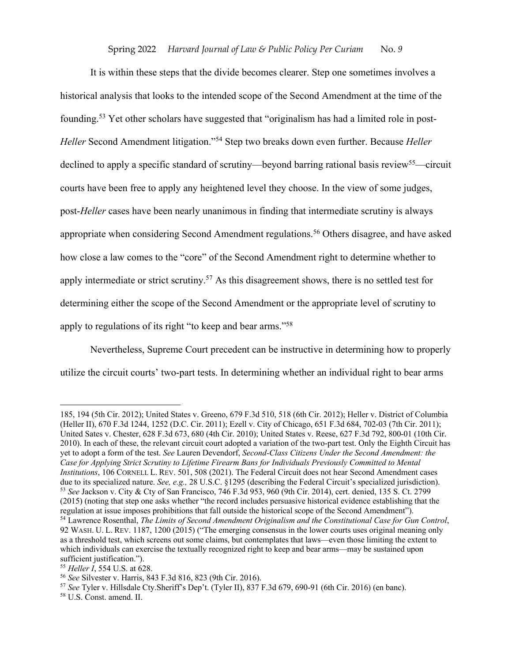It is within these steps that the divide becomes clearer. Step one sometimes involves a historical analysis that looks to the intended scope of the Second Amendment at the time of the founding.53 Yet other scholars have suggested that "originalism has had a limited role in post-*Heller* Second Amendment litigation."54 Step two breaks down even further. Because *Heller* declined to apply a specific standard of scrutiny—beyond barring rational basis review<sup>55</sup>—circuit courts have been free to apply any heightened level they choose. In the view of some judges, post-*Heller* cases have been nearly unanimous in finding that intermediate scrutiny is always appropriate when considering Second Amendment regulations. <sup>56</sup> Others disagree, and have asked how close a law comes to the "core" of the Second Amendment right to determine whether to apply intermediate or strict scrutiny.<sup>57</sup> As this disagreement shows, there is no settled test for determining either the scope of the Second Amendment or the appropriate level of scrutiny to apply to regulations of its right "to keep and bear arms."58

Nevertheless, Supreme Court precedent can be instructive in determining how to properly utilize the circuit courts' two-part tests. In determining whether an individual right to bear arms

<sup>185, 194 (5</sup>th Cir. 2012); United States v. Greeno, 679 F.3d 510, 518 (6th Cir. 2012); Heller v. District of Columbia (Heller II), 670 F.3d 1244, 1252 (D.C. Cir. 2011); Ezell v. City of Chicago, 651 F.3d 684, 702-03 (7th Cir. 2011); United Sates v. Chester, 628 F.3d 673, 680 (4th Cir. 2010); United States v. Reese, 627 F.3d 792, 800-01 (10th Cir. 2010). In each of these, the relevant circuit court adopted a variation of the two-part test. Only the Eighth Circuit has yet to adopt a form of the test. *See* Lauren Devendorf, *Second-Class Citizens Under the Second Amendment: the Case for Applying Strict Scrutiny to Lifetime Firearm Bans for Individuals Previously Committed to Mental Institutions*, 106 CORNELL L. REV. 501, 508 (2021). The Federal Circuit does not hear Second Amendment cases due to its specialized nature. *See, e.g.,* 28 U.S.C. §1295 (describing the Federal Circuit's specialized jurisdiction). <sup>53</sup> *See* Jackson v. City & Cty of San Francisco, 746 F.3d 953, 960 (9th Cir. 2014), cert. denied, 135 S. Ct. 2799 (2015) (noting that step one asks whether "the record includes persuasive historical evidence establishing that the regulation at issue imposes prohibitions that fall outside the historical scope of the Second Amendment"). <sup>54</sup> Lawrence Rosenthal, *The Limits of Second Amendment Originalism and the Constitutional Case for Gun Control*, 92 WASH. U. L. REV. 1187, 1200 (2015) ("The emerging consensus in the lower courts uses original meaning only as a threshold test, which screens out some claims, but contemplates that laws—even those limiting the extent to which individuals can exercise the textually recognized right to keep and bear arms—may be sustained upon sufficient justification.").

<sup>55</sup> *Heller I*, 554 U.S. at 628.

<sup>56</sup> *See* Silvester v. Harris, 843 F.3d 816, 823 (9th Cir. 2016).

<sup>57</sup> *See* Tyler v. Hillsdale Cty.Sheriff's Dep't. (Tyler II), 837 F.3d 679, 690-91 (6th Cir. 2016) (en banc).

<sup>58</sup> U.S. Const. amend. II.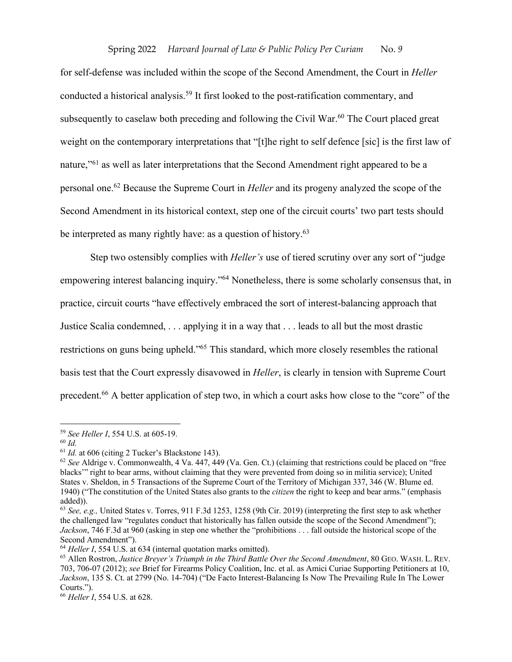for self-defense was included within the scope of the Second Amendment, the Court in *Heller* conducted a historical analysis.<sup>59</sup> It first looked to the post-ratification commentary, and subsequently to caselaw both preceding and following the Civil War.<sup>60</sup> The Court placed great weight on the contemporary interpretations that "[t]he right to self defence [sic] is the first law of nature,"<sup>61</sup> as well as later interpretations that the Second Amendment right appeared to be a personal one.62 Because the Supreme Court in *Heller* and its progeny analyzed the scope of the Second Amendment in its historical context, step one of the circuit courts' two part tests should be interpreted as many rightly have: as a question of history.<sup>63</sup>

Step two ostensibly complies with *Heller's* use of tiered scrutiny over any sort of "judge empowering interest balancing inquiry."64 Nonetheless, there is some scholarly consensus that, in practice, circuit courts "have effectively embraced the sort of interest-balancing approach that Justice Scalia condemned, . . . applying it in a way that . . . leads to all but the most drastic restrictions on guns being upheld."65 This standard, which more closely resembles the rational basis test that the Court expressly disavowed in *Heller*, is clearly in tension with Supreme Court precedent.66 A better application of step two, in which a court asks how close to the "core" of the

<sup>59</sup> *See Heller I*, 554 U.S. at 605-19.

<sup>60</sup> *Id.*

<sup>61</sup> *Id.* at 606 (citing 2 Tucker's Blackstone 143).

<sup>62</sup> *See* Aldrige v. Commonwealth, 4 Va. 447, 449 (Va. Gen. Ct.) (claiming that restrictions could be placed on "free blacks'" right to bear arms, without claiming that they were prevented from doing so in militia service); United States v. Sheldon, in 5 Transactions of the Supreme Court of the Territory of Michigan 337, 346 (W. Blume ed. 1940) ("The constitution of the United States also grants to the *citizen* the right to keep and bear arms." (emphasis added)).

<sup>63</sup> *See, e.g.,* United States v. Torres, 911 F.3d 1253, 1258 (9th Cir. 2019) (interpreting the first step to ask whether the challenged law "regulates conduct that historically has fallen outside the scope of the Second Amendment"); *Jackson*, 746 F.3d at 960 (asking in step one whether the "prohibitions . . . fall outside the historical scope of the Second Amendment").

<sup>64</sup> *Heller I*, 554 U.S. at 634 (internal quotation marks omitted).

<sup>65</sup> Allen Rostron, *Justice Breyer's Triumph in the Third Battle Over the Second Amendment*, 80 GEO. WASH. L. REV. 703, 706-07 (2012); *see* Brief for Firearms Policy Coalition, Inc. et al. as Amici Curiae Supporting Petitioners at 10, *Jackson*, 135 S. Ct. at 2799 (No. 14-704) ("De Facto Interest-Balancing Is Now The Prevailing Rule In The Lower Courts.").

<sup>66</sup> *Heller I*, 554 U.S. at 628.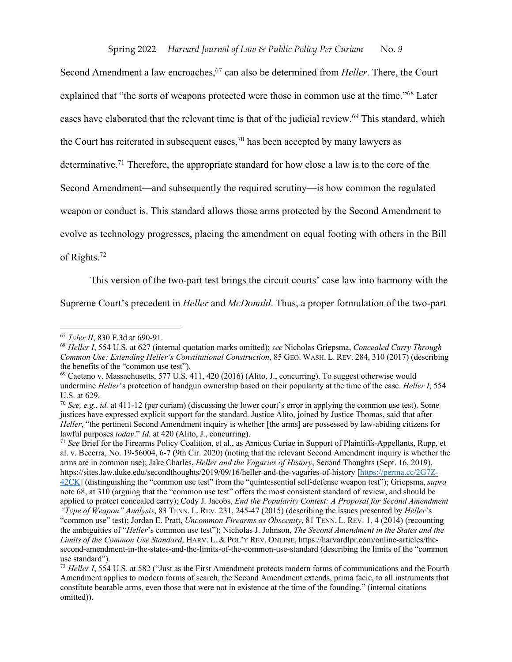Second Amendment a law encroaches,<sup>67</sup> can also be determined from *Heller*. There, the Court explained that "the sorts of weapons protected were those in common use at the time."68 Later cases have elaborated that the relevant time is that of the judicial review.<sup>69</sup> This standard, which the Court has reiterated in subsequent cases,<sup>70</sup> has been accepted by many lawyers as determinative.<sup>71</sup> Therefore, the appropriate standard for how close a law is to the core of the Second Amendment—and subsequently the required scrutiny—is how common the regulated weapon or conduct is. This standard allows those arms protected by the Second Amendment to evolve as technology progresses, placing the amendment on equal footing with others in the Bill of Rights.72

This version of the two-part test brings the circuit courts' case law into harmony with the

Supreme Court's precedent in *Heller* and *McDonald*. Thus, a proper formulation of the two-part

<sup>67</sup> *Tyler II*, 830 F.3d at 690-91.

<sup>68</sup> *Heller I*, 554 U.S. at 627 (internal quotation marks omitted); *see* Nicholas Griepsma, *Concealed Carry Through Common Use: Extending Heller's Constitutional Construction*, 85 GEO. WASH. L. REV. 284, 310 (2017) (describing the benefits of the "common use test").

 $^{69}$  Caetano v. Massachusetts, 577 U.S. 411, 420 (2016) (Alito, J., concurring). To suggest otherwise would undermine *Heller*'s protection of handgun ownership based on their popularity at the time of the case. *Heller I*, 554 U.S. at 629.

<sup>70</sup> *See, e.g.*, *id.* at 411-12 (per curiam) (discussing the lower court's error in applying the common use test). Some justices have expressed explicit support for the standard. Justice Alito, joined by Justice Thomas, said that after *Heller*, "the pertinent Second Amendment inquiry is whether [the arms] are possessed by law-abiding citizens for lawful purposes *today*." *Id.* at 420 (Alito, J., concurring).

<sup>71</sup> *See* Brief for the Firearms Policy Coalition, et al., as Amicus Curiae in Support of Plaintiffs-Appellants, Rupp, et al. v. Becerra, No. 19-56004, 6-7 (9th Cir. 2020) (noting that the relevant Second Amendment inquiry is whether the arms are in common use); Jake Charles, *Heller and the Vagaries of History*, Second Thoughts (Sept. 16, 2019), https://sites.law.duke.edu/secondthoughts/2019/09/16/heller-and-the-vagaries-of-history [https://perma.cc/2G7Z-42CK] (distinguishing the "common use test" from the "quintessential self-defense weapon test"); Griepsma, *supra* note 68, at 310 (arguing that the "common use test" offers the most consistent standard of review, and should be applied to protect concealed carry); Cody J. Jacobs, *End the Popularity Contest: A Proposal for Second Amendment* 

*<sup>&</sup>quot;Type of Weapon" Analysis*, 83 TENN. L. REV. 231, 245-47 (2015) (describing the issues presented by *Heller*'s "common use" test); Jordan E. Pratt, *Uncommon Firearms as Obscenity*, 81 TENN. L. REV. 1, 4 (2014) (recounting the ambiguities of "*Heller*'s common use test"); Nicholas J. Johnson, *The Second Amendment in the States and the Limits of the Common Use Standard*, HARV. L. & POL'Y REV. ONLINE, https://harvardlpr.com/online-articles/thesecond-amendment-in-the-states-and-the-limits-of-the-common-use-standard (describing the limits of the "common use standard").

<sup>72</sup> *Heller I*, 554 U.S. at 582 ("Just as the First Amendment protects modern forms of communications and the Fourth Amendment applies to modern forms of search, the Second Amendment extends, prima facie, to all instruments that constitute bearable arms, even those that were not in existence at the time of the founding." (internal citations omitted)).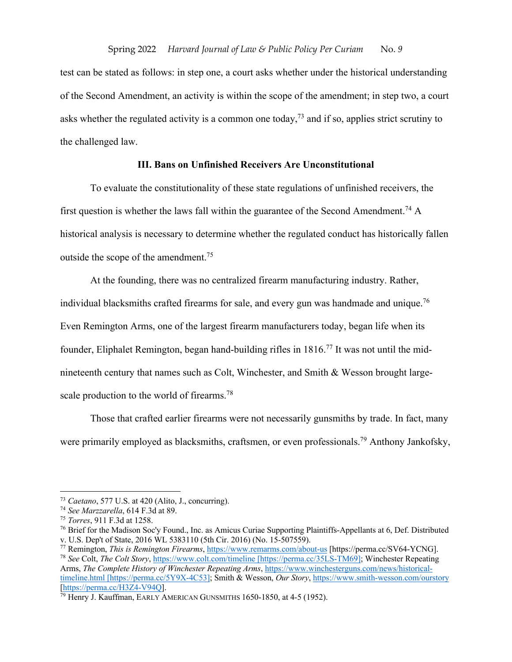test can be stated as follows: in step one, a court asks whether under the historical understanding of the Second Amendment, an activity is within the scope of the amendment; in step two, a court asks whether the regulated activity is a common one today,<sup>73</sup> and if so, applies strict scrutiny to the challenged law.

# **III. Bans on Unfinished Receivers Are Unconstitutional**

To evaluate the constitutionality of these state regulations of unfinished receivers, the first question is whether the laws fall within the guarantee of the Second Amendment.<sup>74</sup> A historical analysis is necessary to determine whether the regulated conduct has historically fallen outside the scope of the amendment.<sup>75</sup>

At the founding, there was no centralized firearm manufacturing industry. Rather, individual blacksmiths crafted firearms for sale, and every gun was handmade and unique.<sup>76</sup> Even Remington Arms, one of the largest firearm manufacturers today, began life when its founder, Eliphalet Remington, began hand-building rifles in 1816.77 It was not until the midnineteenth century that names such as Colt, Winchester, and Smith & Wesson brought largescale production to the world of firearms.<sup>78</sup>

Those that crafted earlier firearms were not necessarily gunsmiths by trade. In fact, many were primarily employed as blacksmiths, craftsmen, or even professionals.<sup>79</sup> Anthony Jankofsky,

<sup>73</sup> *Caetano*, 577 U.S. at 420 (Alito, J., concurring).

<sup>74</sup> *See Marzzarella*, 614 F.3d at 89.

<sup>75</sup> *Torres*, 911 F.3d at 1258.

<sup>76</sup> Brief for the Madison Soc'y Found., Inc. as Amicus Curiae Supporting Plaintiffs-Appellants at 6, Def. Distributed v. U.S. Dep't of State, 2016 WL 5383110 (5th Cir. 2016) (No. 15-507559).

<sup>77</sup> Remington, *This is Remington Firearms*, https://www.remarms.com/about-us [https://perma.cc/SV64-YCNG]. <sup>78</sup> *See* Colt, *The Colt Story*, https://www.colt.com/timeline [https://perma.cc/35LS-TM69]; Winchester Repeating

Arms, *The Complete History of Winchester Repeating Arms*, https://www.winchesterguns.com/news/historicaltimeline.html [https://perma.cc/5Y9X-4C53]; Smith & Wesson, *Our Story*, https://www.smith-wesson.com/ourstory [https://perma.cc/H3Z4-V94Q].

 $\bar{7}9$  Henry J. Kauffman, EARLY AMERICAN GUNSMITHS 1650-1850, at 4-5 (1952).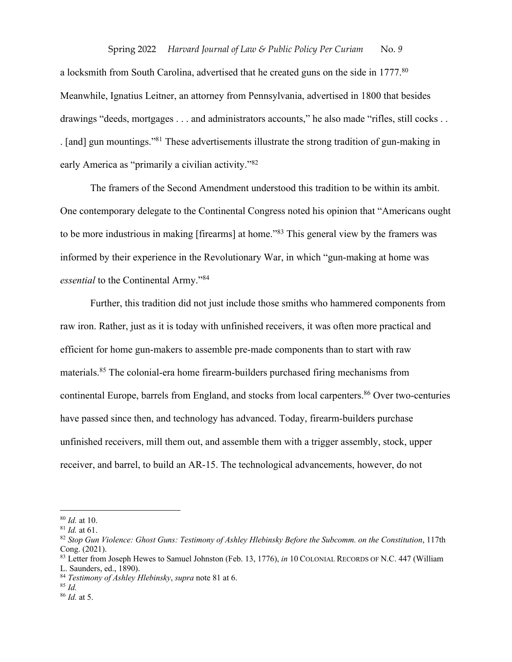a locksmith from South Carolina, advertised that he created guns on the side in 1777.<sup>80</sup> Meanwhile, Ignatius Leitner, an attorney from Pennsylvania, advertised in 1800 that besides drawings "deeds, mortgages . . . and administrators accounts," he also made "rifles, still cocks . . . [and] gun mountings."81 These advertisements illustrate the strong tradition of gun-making in early America as "primarily a civilian activity."82

The framers of the Second Amendment understood this tradition to be within its ambit. One contemporary delegate to the Continental Congress noted his opinion that "Americans ought to be more industrious in making [firearms] at home."<sup>83</sup> This general view by the framers was informed by their experience in the Revolutionary War, in which "gun-making at home was *essential* to the Continental Army."84

Further, this tradition did not just include those smiths who hammered components from raw iron. Rather, just as it is today with unfinished receivers, it was often more practical and efficient for home gun-makers to assemble pre-made components than to start with raw materials.85 The colonial-era home firearm-builders purchased firing mechanisms from continental Europe, barrels from England, and stocks from local carpenters.<sup>86</sup> Over two-centuries have passed since then, and technology has advanced. Today, firearm-builders purchase unfinished receivers, mill them out, and assemble them with a trigger assembly, stock, upper receiver, and barrel, to build an AR-15. The technological advancements, however, do not

<sup>85</sup> *Id.*

<sup>80</sup> *Id.* at 10.

<sup>81</sup> *Id.* at 61.

<sup>82</sup> *Stop Gun Violence: Ghost Guns: Testimony of Ashley Hlebinsky Before the Subcomm. on the Constitution*, 117th Cong. (2021).

<sup>83</sup> Letter from Joseph Hewes to Samuel Johnston (Feb. 13, 1776), *in* 10 COLONIAL RECORDS OF N.C. 447 (William L. Saunders, ed., 1890).

<sup>84</sup> *Testimony of Ashley Hlebinsky*, *supra* note 81 at 6.

<sup>86</sup> *Id.* at 5.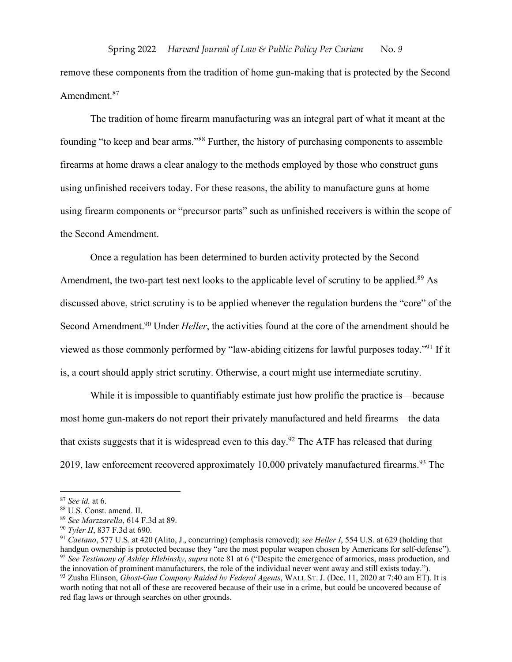remove these components from the tradition of home gun-making that is protected by the Second Amendment.<sup>87</sup>

The tradition of home firearm manufacturing was an integral part of what it meant at the founding "to keep and bear arms."88 Further, the history of purchasing components to assemble firearms at home draws a clear analogy to the methods employed by those who construct guns using unfinished receivers today. For these reasons, the ability to manufacture guns at home using firearm components or "precursor parts" such as unfinished receivers is within the scope of the Second Amendment.

Once a regulation has been determined to burden activity protected by the Second Amendment, the two-part test next looks to the applicable level of scrutiny to be applied.<sup>89</sup> As discussed above, strict scrutiny is to be applied whenever the regulation burdens the "core" of the Second Amendment. <sup>90</sup> Under *Heller*, the activities found at the core of the amendment should be viewed as those commonly performed by "law-abiding citizens for lawful purposes today."91 If it is, a court should apply strict scrutiny. Otherwise, a court might use intermediate scrutiny.

While it is impossible to quantifiably estimate just how prolific the practice is—because most home gun-makers do not report their privately manufactured and held firearms—the data that exists suggests that it is widespread even to this day.<sup>92</sup> The ATF has released that during 2019, law enforcement recovered approximately 10,000 privately manufactured firearms.<sup>93</sup> The

<sup>87</sup> *See id.* at 6.

<sup>88</sup> U.S. Const. amend. II.

<sup>89</sup> *See Marzzarella*, 614 F.3d at 89.

<sup>90</sup> *Tyler II*, 837 F.3d at 690.

<sup>91</sup> *Caetano*, 577 U.S. at 420 (Alito, J., concurring) (emphasis removed); *see Heller I*, 554 U.S. at 629 (holding that handgun ownership is protected because they "are the most popular weapon chosen by Americans for self-defense"). <sup>92</sup> *See Testimony of Ashley Hlebinsky*, *supra* note 81 at 6 ("Despite the emergence of armories, mass production, and the innovation of prominent manufacturers, the role of the individual never went away and still exists today."). <sup>93</sup> Zusha Elinson, *Ghost-Gun Company Raided by Federal Agents*, WALL ST. J. (Dec. 11, 2020 at 7:40 am ET). It is

worth noting that not all of these are recovered because of their use in a crime, but could be uncovered because of red flag laws or through searches on other grounds.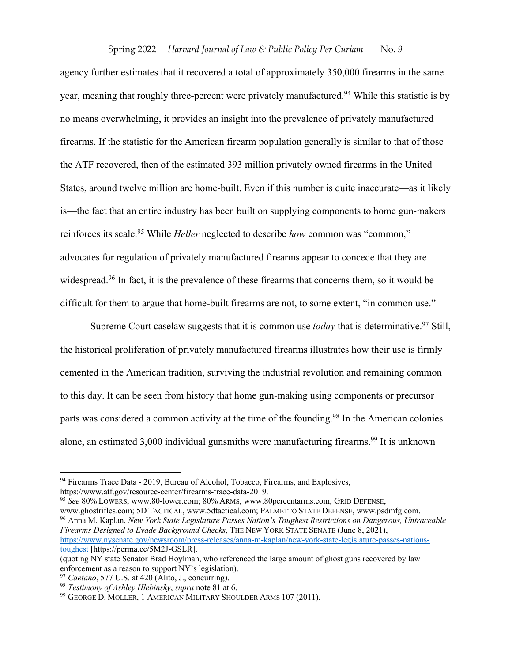agency further estimates that it recovered a total of approximately 350,000 firearms in the same year, meaning that roughly three-percent were privately manufactured.<sup>94</sup> While this statistic is by no means overwhelming, it provides an insight into the prevalence of privately manufactured firearms. If the statistic for the American firearm population generally is similar to that of those the ATF recovered, then of the estimated 393 million privately owned firearms in the United States, around twelve million are home-built. Even if this number is quite inaccurate—as it likely is—the fact that an entire industry has been built on supplying components to home gun-makers reinforces its scale. <sup>95</sup> While *Heller* neglected to describe *how* common was "common," advocates for regulation of privately manufactured firearms appear to concede that they are widespread.<sup>96</sup> In fact, it is the prevalence of these firearms that concerns them, so it would be difficult for them to argue that home-built firearms are not, to some extent, "in common use."

Supreme Court caselaw suggests that it is common use *today* that is determinative. <sup>97</sup> Still, the historical proliferation of privately manufactured firearms illustrates how their use is firmly cemented in the American tradition, surviving the industrial revolution and remaining common to this day. It can be seen from history that home gun-making using components or precursor parts was considered a common activity at the time of the founding.<sup>98</sup> In the American colonies alone, an estimated 3,000 individual gunsmiths were manufacturing firearms.<sup>99</sup> It is unknown

<sup>95</sup> *See* 80% LOWERS, www.80-lower.com; 80% ARMS, www.80percentarms.com; GRID DEFENSE,

www.ghostrifles.com; 5D TACTICAL, www.5dtactical.com; PALMETTO STATE DEFENSE, www.psdmfg.com. <sup>96</sup> Anna M. Kaplan, *New York State Legislature Passes Nation's Toughest Restrictions on Dangerous, Untraceable Firearms Designed to Evade Background Checks*, THE NEW YORK STATE SENATE (June 8, 2021), https://www.nysenate.gov/newsroom/press-releases/anna-m-kaplan/new-york-state-legislature-passes-nationstoughest [https://perma.cc/5M2J-GSLR].

<sup>&</sup>lt;sup>94</sup> Firearms Trace Data - 2019, Bureau of Alcohol, Tobacco, Firearms, and Explosives, https://www.atf.gov/resource-center/firearms-trace-data-2019.

<sup>(</sup>quoting NY state Senator Brad Hoylman, who referenced the large amount of ghost guns recovered by law enforcement as a reason to support NY's legislation).

<sup>97</sup> *Caetano*, 577 U.S. at 420 (Alito, J., concurring).

<sup>98</sup> *Testimony of Ashley Hlebinsky*, *supra* note 81 at 6.

<sup>&</sup>lt;sup>99</sup> GEORGE D. MOLLER, 1 AMERICAN MILITARY SHOULDER ARMS 107 (2011).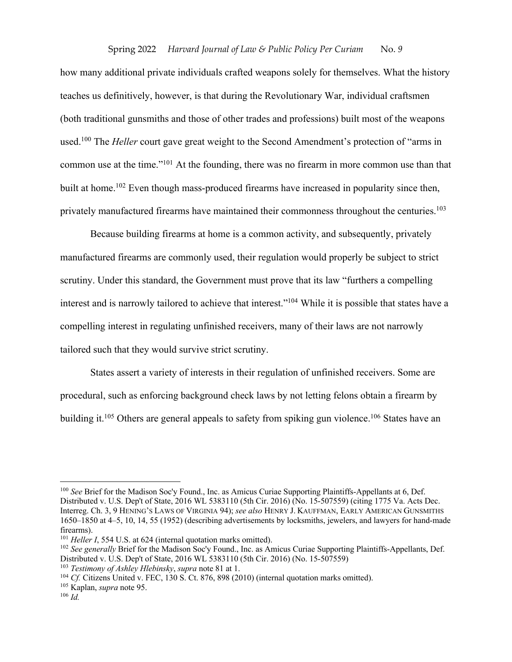how many additional private individuals crafted weapons solely for themselves. What the history teaches us definitively, however, is that during the Revolutionary War, individual craftsmen (both traditional gunsmiths and those of other trades and professions) built most of the weapons used. <sup>100</sup> The *Heller* court gave great weight to the Second Amendment's protection of "arms in common use at the time."101 At the founding, there was no firearm in more common use than that built at home.<sup>102</sup> Even though mass-produced firearms have increased in popularity since then, privately manufactured firearms have maintained their commonness throughout the centuries.<sup>103</sup>

Because building firearms at home is a common activity, and subsequently, privately manufactured firearms are commonly used, their regulation would properly be subject to strict scrutiny. Under this standard, the Government must prove that its law "furthers a compelling interest and is narrowly tailored to achieve that interest."104 While it is possible that states have a compelling interest in regulating unfinished receivers, many of their laws are not narrowly tailored such that they would survive strict scrutiny.

States assert a variety of interests in their regulation of unfinished receivers. Some are procedural, such as enforcing background check laws by not letting felons obtain a firearm by building it.<sup>105</sup> Others are general appeals to safety from spiking gun violence.<sup>106</sup> States have an

<sup>100</sup> *See* Brief for the Madison Soc'y Found., Inc. as Amicus Curiae Supporting Plaintiffs-Appellants at 6, Def. Distributed v. U.S. Dep't of State, 2016 WL 5383110 (5th Cir. 2016) (No. 15-507559) (citing 1775 Va. Acts Dec. Interreg. Ch. 3, 9 HENING'S LAWS OF VIRGINIA 94); *see also* HENRY J. KAUFFMAN, EARLY AMERICAN GUNSMITHS 1650–1850 at 4–5, 10, 14, 55 (1952) (describing advertisements by locksmiths, jewelers, and lawyers for hand-made firearms).

<sup>&</sup>lt;sup>101</sup> *Heller I*, 554 U.S. at 624 (internal quotation marks omitted).

<sup>102</sup> *See generally* Brief for the Madison Soc'y Found., Inc. as Amicus Curiae Supporting Plaintiffs-Appellants, Def. Distributed v. U.S. Dep't of State, 2016 WL 5383110 (5th Cir. 2016) (No. 15-507559)

<sup>103</sup> *Testimony of Ashley Hlebinsky*, *supra* note 81 at 1.

<sup>104</sup> *Cf.* Citizens United v. FEC, 130 S. Ct. 876, 898 (2010) (internal quotation marks omitted).

<sup>105</sup> Kaplan, *supra* note 95.

<sup>106</sup> *Id.*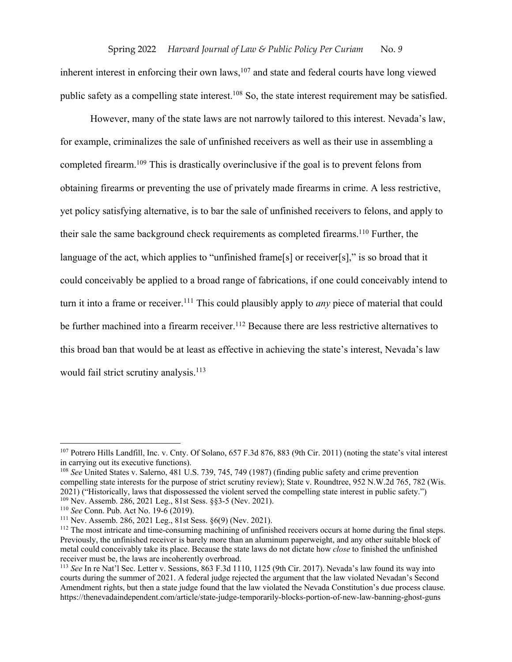inherent interest in enforcing their own laws,  $107$  and state and federal courts have long viewed public safety as a compelling state interest.<sup>108</sup> So, the state interest requirement may be satisfied.

However, many of the state laws are not narrowly tailored to this interest. Nevada's law, for example, criminalizes the sale of unfinished receivers as well as their use in assembling a completed firearm.109 This is drastically overinclusive if the goal is to prevent felons from obtaining firearms or preventing the use of privately made firearms in crime. A less restrictive, yet policy satisfying alternative, is to bar the sale of unfinished receivers to felons, and apply to their sale the same background check requirements as completed firearms.<sup>110</sup> Further, the language of the act, which applies to "unfinished frame<sup>[s]</sup> or receiver<sup>[s]</sup>," is so broad that it could conceivably be applied to a broad range of fabrications, if one could conceivably intend to turn it into a frame or receiver.<sup>111</sup> This could plausibly apply to *any* piece of material that could be further machined into a firearm receiver.<sup>112</sup> Because there are less restrictive alternatives to this broad ban that would be at least as effective in achieving the state's interest, Nevada's law would fail strict scrutiny analysis.<sup>113</sup>

<sup>107</sup> Potrero Hills Landfill, Inc. v. Cnty. Of Solano, 657 F.3d 876, 883 (9th Cir. 2011) (noting the state's vital interest in carrying out its executive functions).

<sup>&</sup>lt;sup>108</sup> *See* United States v. Salerno, 481 U.S. 739, 745, 749 (1987) (finding public safety and crime prevention compelling state interests for the purpose of strict scrutiny review); State v. Roundtree, 952 N.W.2d 765, 782 (Wis. 2021) ("Historically, laws that dispossessed the violent served the compelling state interest in public safety.")

<sup>109</sup> Nev. Assemb. 286, 2021 Leg., 81st Sess. §§3-5 (Nev. 2021). 110 *See* Conn. Pub. Act No. 19-6 (2019).

 $112$  The most intricate and time-consuming machining of unfinished receivers occurs at home during the final steps. Previously, the unfinished receiver is barely more than an aluminum paperweight, and any other suitable block of metal could conceivably take its place. Because the state laws do not dictate how *close* to finished the unfinished receiver must be, the laws are incoherently overbroad.

<sup>113</sup> *See* In re Nat'l Sec. Letter v. Sessions, 863 F.3d 1110, 1125 (9th Cir. 2017). Nevada's law found its way into courts during the summer of 2021. A federal judge rejected the argument that the law violated Nevadan's Second Amendment rights, but then a state judge found that the law violated the Nevada Constitution's due process clause. https://thenevadaindependent.com/article/state-judge-temporarily-blocks-portion-of-new-law-banning-ghost-guns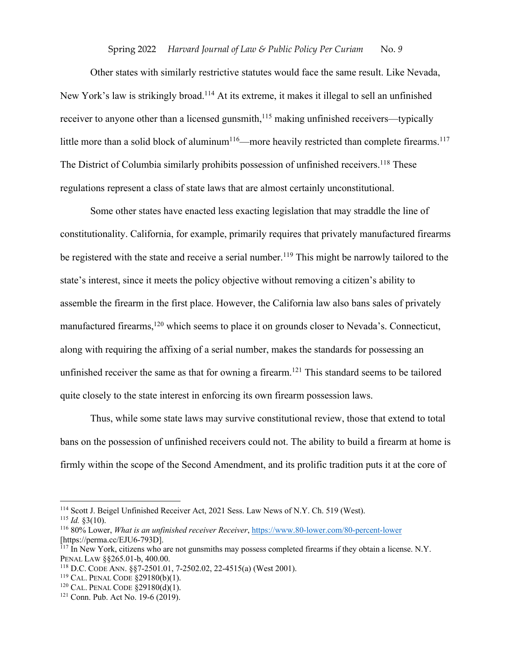Other states with similarly restrictive statutes would face the same result. Like Nevada, New York's law is strikingly broad.114 At its extreme, it makes it illegal to sell an unfinished receiver to anyone other than a licensed gunsmith,<sup>115</sup> making unfinished receivers—typically little more than a solid block of aluminum<sup>116</sup>—more heavily restricted than complete firearms.<sup>117</sup> The District of Columbia similarly prohibits possession of unfinished receivers.<sup>118</sup> These regulations represent a class of state laws that are almost certainly unconstitutional.

Some other states have enacted less exacting legislation that may straddle the line of constitutionality. California, for example, primarily requires that privately manufactured firearms be registered with the state and receive a serial number.<sup>119</sup> This might be narrowly tailored to the state's interest, since it meets the policy objective without removing a citizen's ability to assemble the firearm in the first place. However, the California law also bans sales of privately manufactured firearms,<sup>120</sup> which seems to place it on grounds closer to Nevada's. Connecticut, along with requiring the affixing of a serial number, makes the standards for possessing an unfinished receiver the same as that for owning a firearm. <sup>121</sup> This standard seems to be tailored quite closely to the state interest in enforcing its own firearm possession laws.

Thus, while some state laws may survive constitutional review, those that extend to total bans on the possession of unfinished receivers could not. The ability to build a firearm at home is firmly within the scope of the Second Amendment, and its prolific tradition puts it at the core of

<sup>114</sup> Scott J. Beigel Unfinished Receiver Act, 2021 Sess. Law News of N.Y. Ch. 519 (West).

 $115$  *Id.* §3(10).

<sup>116</sup> 80% Lower, *What is an unfinished receiver Receiver*, https://www.80-lower.com/80-percent-lower [https://perma.cc/EJU6-793D].

 $117$  In New York, citizens who are not gunsmiths may possess completed firearms if they obtain a license. N.Y. PENAL LAW §§265.01-b, 400.00.

<sup>118</sup> D.C. CODE ANN. §§7-2501.01, 7-2502.02, 22-4515(a) (West 2001).

<sup>119</sup> CAL. PENAL CODE §29180(b)(1).

<sup>120</sup> CAL. PENAL CODE §29180(d)(1).

<sup>121</sup> Conn. Pub. Act No. 19-6 (2019).